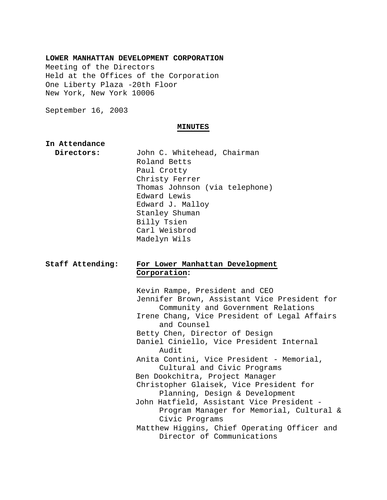### **LOWER MANHATTAN DEVELOPMENT CORPORATION**

Meeting of the Directors Held at the Offices of the Corporation One Liberty Plaza -20th Floor New York, New York 10006

September 16, 2003

#### **MINUTES**

### **In Attendance**

 **Directors:** John C. Whitehead, Chairman Roland Betts Paul Crotty Christy Ferrer Thomas Johnson (via telephone) Edward Lewis Edward J. Malloy Stanley Shuman Billy Tsien Carl Weisbrod Madelyn Wils

# **Staff Attending: For Lower Manhattan Development Corporation:**

Kevin Rampe, President and CEO Jennifer Brown, Assistant Vice President for Community and Government Relations Irene Chang, Vice President of Legal Affairs and Counsel Betty Chen, Director of Design Daniel Ciniello, Vice President Internal Audit Anita Contini, Vice President - Memorial, Cultural and Civic Programs Ben Dookchitra, Project Manager Christopher Glaisek, Vice President for Planning, Design & Development John Hatfield, Assistant Vice President - Program Manager for Memorial, Cultural & Civic Programs Matthew Higgins, Chief Operating Officer and Director of Communications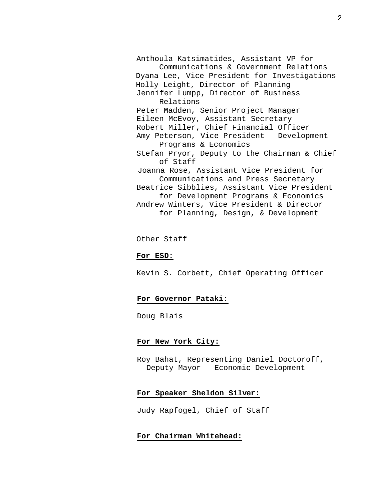Anthoula Katsimatides, Assistant VP for Communications & Government Relations Dyana Lee, Vice President for Investigations Holly Leight, Director of Planning Jennifer Lumpp, Director of Business Relations Peter Madden, Senior Project Manager Eileen McEvoy, Assistant Secretary Robert Miller, Chief Financial Officer Amy Peterson, Vice President - Development Programs & Economics Stefan Pryor, Deputy to the Chairman & Chief of Staff Joanna Rose, Assistant Vice President for Communications and Press Secretary Beatrice Sibblies, Assistant Vice President for Development Programs & Economics Andrew Winters, Vice President & Director for Planning, Design, & Development

Other Staff

### **For ESD:**

Kevin S. Corbett, Chief Operating Officer

## **For Governor Pataki:**

Doug Blais

#### **For New York City:**

Roy Bahat, Representing Daniel Doctoroff, Deputy Mayor - Economic Development

### **For Speaker Sheldon Silver:**

Judy Rapfogel, Chief of Staff

# **For Chairman Whitehead:**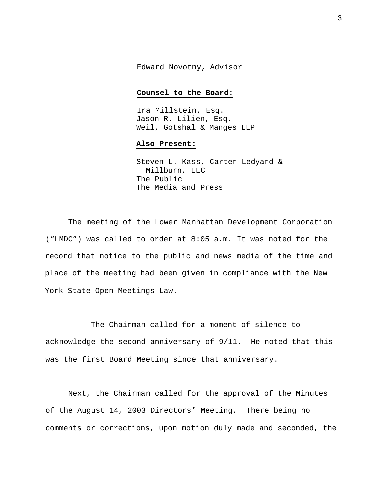Edward Novotny, Advisor

### **Counsel to the Board:**

Ira Millstein, Esq. Jason R. Lilien, Esq. Weil, Gotshal & Manges LLP

### **Also Present:**

Steven L. Kass, Carter Ledyard & Millburn, LLC The Public The Media and Press

The meeting of the Lower Manhattan Development Corporation ("LMDC") was called to order at 8:05 a.m. It was noted for the record that notice to the public and news media of the time and place of the meeting had been given in compliance with the New York State Open Meetings Law.

The Chairman called for a moment of silence to acknowledge the second anniversary of 9/11. He noted that this was the first Board Meeting since that anniversary.

Next, the Chairman called for the approval of the Minutes of the August 14, 2003 Directors' Meeting. There being no comments or corrections, upon motion duly made and seconded, the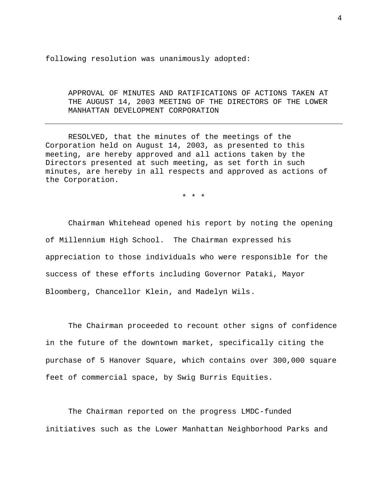following resolution was unanimously adopted:

APPROVAL OF MINUTES AND RATIFICATIONS OF ACTIONS TAKEN AT THE AUGUST 14, 2003 MEETING OF THE DIRECTORS OF THE LOWER MANHATTAN DEVELOPMENT CORPORATION

RESOLVED, that the minutes of the meetings of the Corporation held on August 14, 2003, as presented to this meeting, are hereby approved and all actions taken by the Directors presented at such meeting, as set forth in such minutes, are hereby in all respects and approved as actions of the Corporation.

\* \* \*

Chairman Whitehead opened his report by noting the opening of Millennium High School. The Chairman expressed his appreciation to those individuals who were responsible for the success of these efforts including Governor Pataki, Mayor Bloomberg, Chancellor Klein, and Madelyn Wils.

The Chairman proceeded to recount other signs of confidence in the future of the downtown market, specifically citing the purchase of 5 Hanover Square, which contains over 300,000 square feet of commercial space, by Swig Burris Equities.

The Chairman reported on the progress LMDC-funded initiatives such as the Lower Manhattan Neighborhood Parks and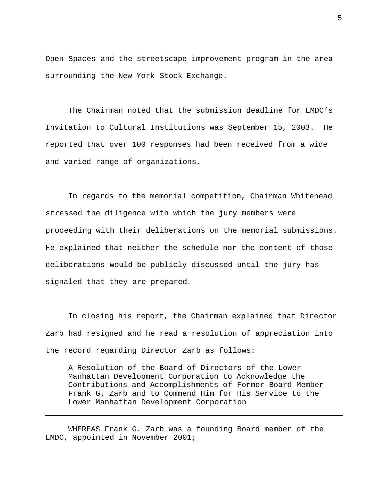Open Spaces and the streetscape improvement program in the area surrounding the New York Stock Exchange.

The Chairman noted that the submission deadline for LMDC's Invitation to Cultural Institutions was September 15, 2003. He reported that over 100 responses had been received from a wide and varied range of organizations.

In regards to the memorial competition, Chairman Whitehead stressed the diligence with which the jury members were proceeding with their deliberations on the memorial submissions. He explained that neither the schedule nor the content of those deliberations would be publicly discussed until the jury has signaled that they are prepared.

In closing his report, the Chairman explained that Director Zarb had resigned and he read a resolution of appreciation into the record regarding Director Zarb as follows:

A Resolution of the Board of Directors of the Lower Manhattan Development Corporation to Acknowledge the Contributions and Accomplishments of Former Board Member Frank G. Zarb and to Commend Him for His Service to the Lower Manhattan Development Corporation

WHEREAS Frank G. Zarb was a founding Board member of the LMDC, appointed in November 2001;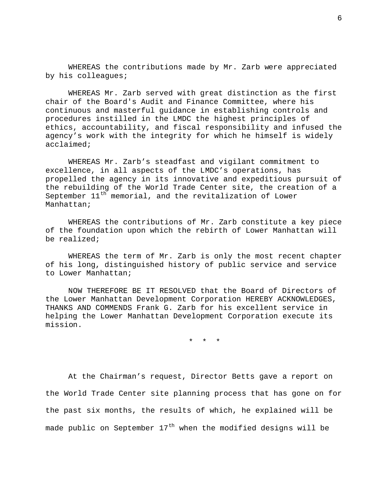WHEREAS the contributions made by Mr. Zarb were appreciated by his colleagues;

WHEREAS Mr. Zarb served with great distinction as the first chair of the Board's Audit and Finance Committee, where his continuous and masterful guidance in establishing controls and procedures instilled in the LMDC the highest principles of ethics, accountability, and fiscal responsibility and infused the agency's work with the integrity for which he himself is widely acclaimed;

WHEREAS Mr. Zarb's steadfast and vigilant commitment to excellence, in all aspects of the LMDC's operations, has propelled the agency in its innovative and expeditious pursuit of the rebuilding of the World Trade Center site, the creation of a September  $11<sup>th</sup>$  memorial, and the revitalization of Lower Manhattan;

WHEREAS the contributions of Mr. Zarb constitute a key piece of the foundation upon which the rebirth of Lower Manhattan will be realized;

WHEREAS the term of Mr. Zarb is only the most recent chapter of his long, distinguished history of public service and service to Lower Manhattan;

NOW THEREFORE BE IT RESOLVED that the Board of Directors of the Lower Manhattan Development Corporation HEREBY ACKNOWLEDGES, THANKS AND COMMENDS Frank G. Zarb for his excellent service in helping the Lower Manhattan Development Corporation execute its mission.

\* \* \*

At the Chairman's request, Director Betts gave a report on the World Trade Center site planning process that has gone on for the past six months, the results of which, he explained will be made public on September  $17<sup>th</sup>$  when the modified designs will be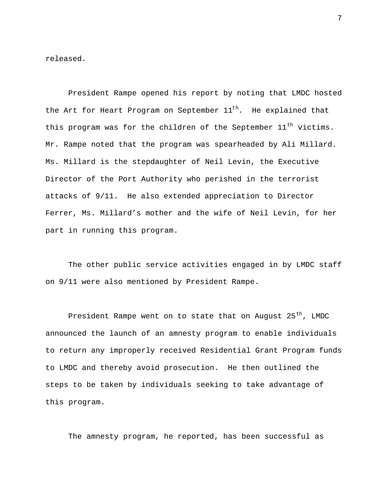released.

President Rampe opened his report by noting that LMDC hosted the Art for Heart Program on September  $11<sup>th</sup>$ . He explained that this program was for the children of the September  $11<sup>th</sup>$  victims. Mr. Rampe noted that the program was spearheaded by Ali Millard. Ms. Millard is the stepdaughter of Neil Levin, the Executive Director of the Port Authority who perished in the terrorist attacks of 9/11. He also extended appreciation to Director Ferrer, Ms. Millard's mother and the wife of Neil Levin, for her part in running this program.

The other public service activities engaged in by LMDC staff on 9/11 were also mentioned by President Rampe.

President Rampe went on to state that on August  $25<sup>th</sup>$ , LMDC announced the launch of an amnesty program to enable individuals to return any improperly received Residential Grant Program funds to LMDC and thereby avoid prosecution. He then outlined the steps to be taken by individuals seeking to take advantage of this program.

The amnesty program, he reported, has been successful as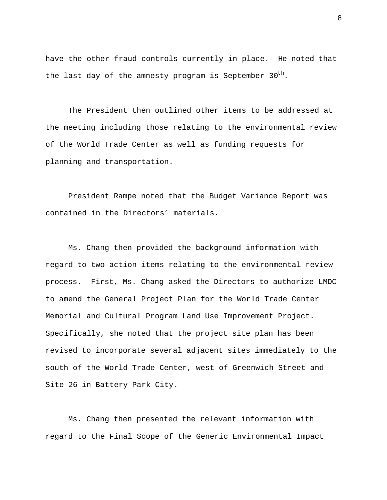have the other fraud controls currently in place. He noted that the last day of the amnesty program is September  $30<sup>th</sup>$ .

The President then outlined other items to be addressed at the meeting including those relating to the environmental review of the World Trade Center as well as funding requests for planning and transportation.

President Rampe noted that the Budget Variance Report was contained in the Directors' materials.

Ms. Chang then provided the background information with regard to two action items relating to the environmental review process. First, Ms. Chang asked the Directors to authorize LMDC to amend the General Project Plan for the World Trade Center Memorial and Cultural Program Land Use Improvement Project. Specifically, she noted that the project site plan has been revised to incorporate several adjacent sites immediately to the south of the World Trade Center, west of Greenwich Street and Site 26 in Battery Park City.

Ms. Chang then presented the relevant information with regard to the Final Scope of the Generic Environmental Impact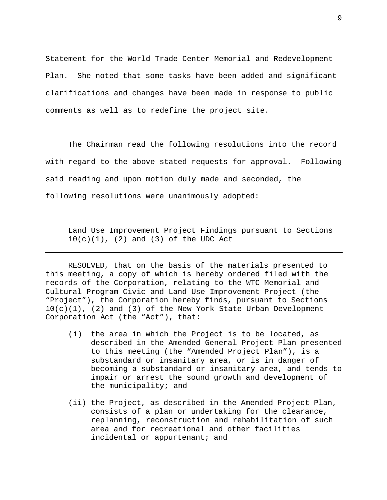Statement for the World Trade Center Memorial and Redevelopment Plan. She noted that some tasks have been added and significant clarifications and changes have been made in response to public comments as well as to redefine the project site.

The Chairman read the following resolutions into the record with regard to the above stated requests for approval. Following said reading and upon motion duly made and seconded, the following resolutions were unanimously adopted:

Land Use Improvement Project Findings pursuant to Sections  $10(c)(1)$ , (2) and (3) of the UDC Act

RESOLVED, that on the basis of the materials presented to this meeting, a copy of which is hereby ordered filed with the records of the Corporation, relating to the WTC Memorial and Cultural Program Civic and Land Use Improvement Project (the "Project"), the Corporation hereby finds, pursuant to Sections  $10(c)(1)$ , (2) and (3) of the New York State Urban Development Corporation Act (the "Act"), that:

- (i) the area in which the Project is to be located, as described in the Amended General Project Plan presented to this meeting (the "Amended Project Plan"), is a substandard or insanitary area, or is in danger of becoming a substandard or insanitary area, and tends to impair or arrest the sound growth and development of the municipality; and
- (ii) the Project, as described in the Amended Project Plan, consists of a plan or undertaking for the clearance, replanning, reconstruction and rehabilitation of such area and for recreational and other facilities incidental or appurtenant; and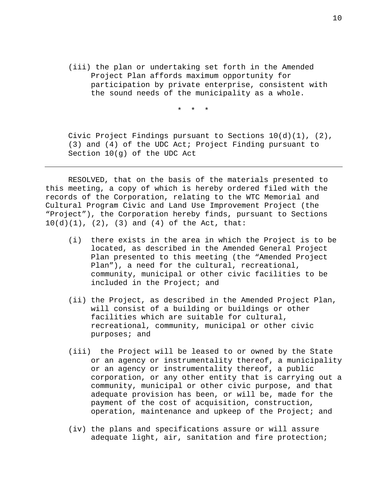(iii) the plan or undertaking set forth in the Amended Project Plan affords maximum opportunity for participation by private enterprise, consistent with the sound needs of the municipality as a whole.

\* \* \*

Civic Project Findings pursuant to Sections  $10(d)(1)$ ,  $(2)$ , (3) and (4) of the UDC Act; Project Finding pursuant to Section 10(g) of the UDC Act

RESOLVED, that on the basis of the materials presented to this meeting, a copy of which is hereby ordered filed with the records of the Corporation, relating to the WTC Memorial and Cultural Program Civic and Land Use Improvement Project (the "Project"), the Corporation hereby finds, pursuant to Sections  $10(d)(1)$ ,  $(2)$ ,  $(3)$  and  $(4)$  of the Act, that:

- (i) there exists in the area in which the Project is to be located, as described in the Amended General Project Plan presented to this meeting (the "Amended Project Plan"), a need for the cultural, recreational, community, municipal or other civic facilities to be included in the Project; and
- (ii) the Project, as described in the Amended Project Plan, will consist of a building or buildings or other facilities which are suitable for cultural, recreational, community, municipal or other civic purposes; and
- (iii) the Project will be leased to or owned by the State or an agency or instrumentality thereof, a municipality or an agency or instrumentality thereof, a public corporation, or any other entity that is carrying out a community, municipal or other civic purpose, and that adequate provision has been, or will be, made for the payment of the cost of acquisition, construction, operation, maintenance and upkeep of the Project; and
- (iv) the plans and specifications assure or will assure adequate light, air, sanitation and fire protection;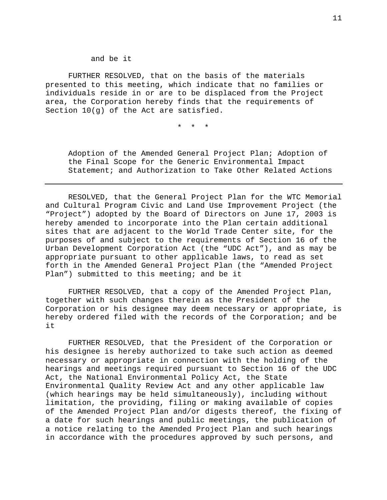and be it

FURTHER RESOLVED, that on the basis of the materials presented to this meeting, which indicate that no families or individuals reside in or are to be displaced from the Project area, the Corporation hereby finds that the requirements of Section 10(g) of the Act are satisfied.

\* \* \*

Adoption of the Amended General Project Plan; Adoption of the Final Scope for the Generic Environmental Impact Statement; and Authorization to Take Other Related Actions

RESOLVED, that the General Project Plan for the WTC Memorial and Cultural Program Civic and Land Use Improvement Project (the "Project") adopted by the Board of Directors on June 17, 2003 is hereby amended to incorporate into the Plan certain additional sites that are adjacent to the World Trade Center site, for the purposes of and subject to the requirements of Section 16 of the Urban Development Corporation Act (the "UDC Act"), and as may be appropriate pursuant to other applicable laws, to read as set forth in the Amended General Project Plan (the "Amended Project Plan") submitted to this meeting; and be it

FURTHER RESOLVED, that a copy of the Amended Project Plan, together with such changes therein as the President of the Corporation or his designee may deem necessary or appropriate, is hereby ordered filed with the records of the Corporation; and be it

FURTHER RESOLVED, that the President of the Corporation or his designee is hereby authorized to take such action as deemed necessary or appropriate in connection with the holding of the hearings and meetings required pursuant to Section 16 of the UDC Act, the National Environmental Policy Act, the State Environmental Quality Review Act and any other applicable law (which hearings may be held simultaneously), including without limitation, the providing, filing or making available of copies of the Amended Project Plan and/or digests thereof, the fixing of a date for such hearings and public meetings, the publication of a notice relating to the Amended Project Plan and such hearings in accordance with the procedures approved by such persons, and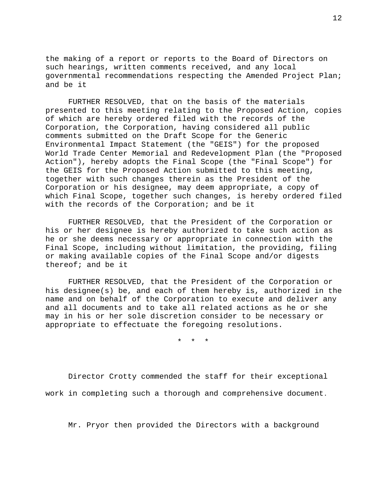the making of a report or reports to the Board of Directors on such hearings, written comments received, and any local governmental recommendations respecting the Amended Project Plan; and be it

FURTHER RESOLVED, that on the basis of the materials presented to this meeting relating to the Proposed Action, copies of which are hereby ordered filed with the records of the Corporation, the Corporation, having considered all public comments submitted on the Draft Scope for the Generic Environmental Impact Statement (the "GEIS") for the proposed World Trade Center Memorial and Redevelopment Plan (the "Proposed Action"), hereby adopts the Final Scope (the "Final Scope") for the GEIS for the Proposed Action submitted to this meeting, together with such changes therein as the President of the Corporation or his designee, may deem appropriate, a copy of which Final Scope, together such changes, is hereby ordered filed with the records of the Corporation; and be it

FURTHER RESOLVED, that the President of the Corporation or his or her designee is hereby authorized to take such action as he or she deems necessary or appropriate in connection with the Final Scope, including without limitation, the providing, filing or making available copies of the Final Scope and/or digests thereof; and be it

FURTHER RESOLVED, that the President of the Corporation or his designee(s) be, and each of them hereby is, authorized in the name and on behalf of the Corporation to execute and deliver any and all documents and to take all related actions as he or she may in his or her sole discretion consider to be necessary or appropriate to effectuate the foregoing resolutions.

\* \* \*

Director Crotty commended the staff for their exceptional work in completing such a thorough and comprehensive document.

Mr. Pryor then provided the Directors with a background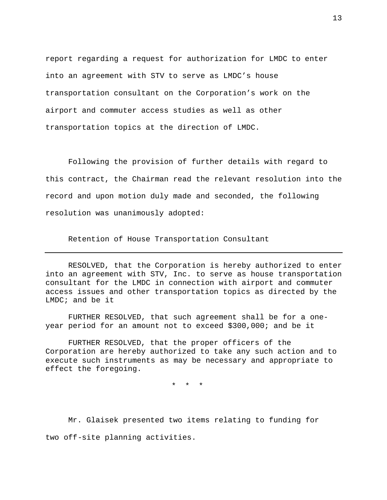report regarding a request for authorization for LMDC to enter into an agreement with STV to serve as LMDC's house transportation consultant on the Corporation's work on the airport and commuter access studies as well as other transportation topics at the direction of LMDC.

Following the provision of further details with regard to this contract, the Chairman read the relevant resolution into the record and upon motion duly made and seconded, the following resolution was unanimously adopted:

Retention of House Transportation Consultant

RESOLVED, that the Corporation is hereby authorized to enter into an agreement with STV, Inc. to serve as house transportation consultant for the LMDC in connection with airport and commuter access issues and other transportation topics as directed by the LMDC; and be it

FURTHER RESOLVED, that such agreement shall be for a oneyear period for an amount not to exceed \$300,000; and be it

FURTHER RESOLVED, that the proper officers of the Corporation are hereby authorized to take any such action and to execute such instruments as may be necessary and appropriate to effect the foregoing.

\* \* \*

Mr. Glaisek presented two items relating to funding for two off-site planning activities.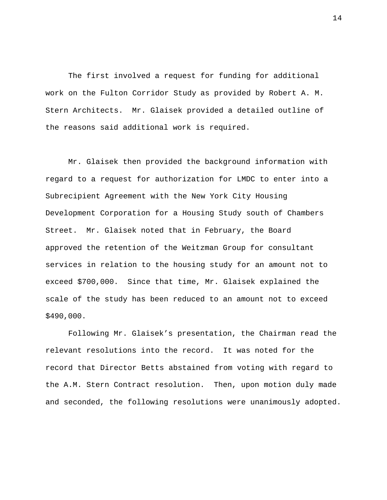The first involved a request for funding for additional work on the Fulton Corridor Study as provided by Robert A. M. Stern Architects. Mr. Glaisek provided a detailed outline of the reasons said additional work is required.

Mr. Glaisek then provided the background information with regard to a request for authorization for LMDC to enter into a Subrecipient Agreement with the New York City Housing Development Corporation for a Housing Study south of Chambers Street. Mr. Glaisek noted that in February, the Board approved the retention of the Weitzman Group for consultant services in relation to the housing study for an amount not to exceed \$700,000. Since that time, Mr. Glaisek explained the scale of the study has been reduced to an amount not to exceed \$490,000.

Following Mr. Glaisek's presentation, the Chairman read the relevant resolutions into the record. It was noted for the record that Director Betts abstained from voting with regard to the A.M. Stern Contract resolution. Then, upon motion duly made and seconded, the following resolutions were unanimously adopted.

14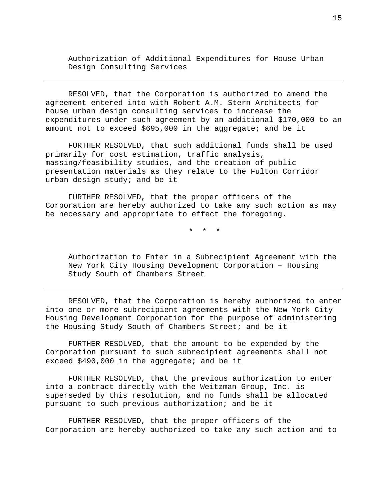Authorization of Additional Expenditures for House Urban Design Consulting Services

RESOLVED, that the Corporation is authorized to amend the agreement entered into with Robert A.M. Stern Architects for house urban design consulting services to increase the expenditures under such agreement by an additional \$170,000 to an amount not to exceed \$695,000 in the aggregate; and be it

FURTHER RESOLVED, that such additional funds shall be used primarily for cost estimation, traffic analysis, massing/feasibility studies, and the creation of public presentation materials as they relate to the Fulton Corridor urban design study; and be it

FURTHER RESOLVED, that the proper officers of the Corporation are hereby authorized to take any such action as may be necessary and appropriate to effect the foregoing.

\* \* \*

Authorization to Enter in a Subrecipient Agreement with the New York City Housing Development Corporation – Housing Study South of Chambers Street

RESOLVED, that the Corporation is hereby authorized to enter into one or more subrecipient agreements with the New York City Housing Development Corporation for the purpose of administering the Housing Study South of Chambers Street; and be it

FURTHER RESOLVED, that the amount to be expended by the Corporation pursuant to such subrecipient agreements shall not exceed \$490,000 in the aggregate; and be it

FURTHER RESOLVED, that the previous authorization to enter into a contract directly with the Weitzman Group, Inc. is superseded by this resolution, and no funds shall be allocated pursuant to such previous authorization; and be it

FURTHER RESOLVED, that the proper officers of the Corporation are hereby authorized to take any such action and to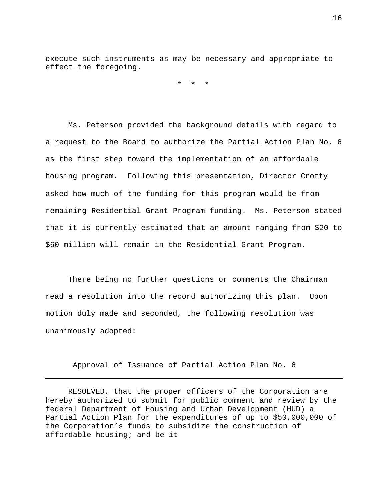execute such instruments as may be necessary and appropriate to effect the foregoing.

\* \* \*

Ms. Peterson provided the background details with regard to a request to the Board to authorize the Partial Action Plan No. 6 as the first step toward the implementation of an affordable housing program. Following this presentation, Director Crotty asked how much of the funding for this program would be from remaining Residential Grant Program funding. Ms. Peterson stated that it is currently estimated that an amount ranging from \$20 to \$60 million will remain in the Residential Grant Program.

There being no further questions or comments the Chairman read a resolution into the record authorizing this plan. Upon motion duly made and seconded, the following resolution was unanimously adopted:

Approval of Issuance of Partial Action Plan No. 6

RESOLVED, that the proper officers of the Corporation are hereby authorized to submit for public comment and review by the federal Department of Housing and Urban Development (HUD) a Partial Action Plan for the expenditures of up to \$50,000,000 of the Corporation's funds to subsidize the construction of affordable housing; and be it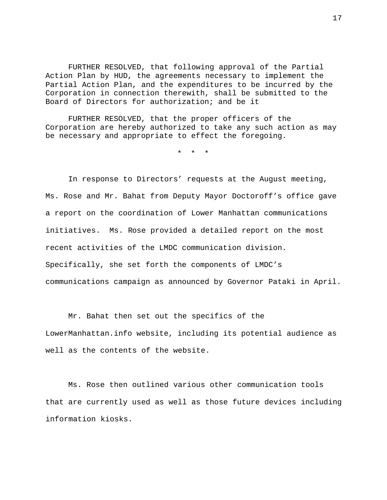FURTHER RESOLVED, that following approval of the Partial Action Plan by HUD, the agreements necessary to implement the Partial Action Plan, and the expenditures to be incurred by the Corporation in connection therewith, shall be submitted to the Board of Directors for authorization; and be it

FURTHER RESOLVED, that the proper officers of the Corporation are hereby authorized to take any such action as may be necessary and appropriate to effect the foregoing.

\* \* \*

In response to Directors' requests at the August meeting, Ms. Rose and Mr. Bahat from Deputy Mayor Doctoroff's office gave a report on the coordination of Lower Manhattan communications initiatives. Ms. Rose provided a detailed report on the most recent activities of the LMDC communication division. Specifically, she set forth the components of LMDC's communications campaign as announced by Governor Pataki in April.

Mr. Bahat then set out the specifics of the LowerManhattan.info website, including its potential audience as well as the contents of the website.

Ms. Rose then outlined various other communication tools that are currently used as well as those future devices including information kiosks.